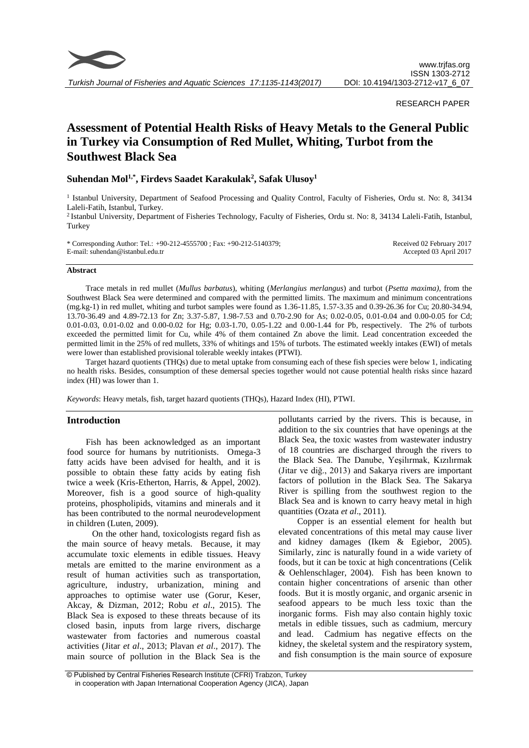

*Turkish Journal of Fisheries and Aquatic Sciences 17:1135-1143(2017)*

# RESEARCH PAPER

# **Assessment of Potential Health Risks of Heavy Metals to the General Public in Turkey via Consumption of Red Mullet, Whiting, Turbot from the Southwest Black Sea**

# **Suhendan Mol1,\*, Firdevs Saadet Karakulak<sup>2</sup> , Safak Ulusoy<sup>1</sup>**

<sup>1</sup> Istanbul University, Department of Seafood Processing and Quality Control, Faculty of Fisheries, Ordu st. No: 8, 34134 Laleli-Fatih, Istanbul, Turkey.

<sup>2</sup>Istanbul University, Department of Fisheries Technology, Faculty of Fisheries, Ordu st. No: 8, 34134 Laleli-Fatih, Istanbul, Turkey

\* Corresponding Author: Tel.: +90-212-4555700 ; Fax: +90-212-5140379; E-mail: suhendan@istanbul.edu.tr Received 02 February 2017 Accepted 03 April 2017

#### **Abstract**

Trace metals in red mullet (*Mullus barbatus*), whiting (*Merlangius merlangus*) and turbot (*Psetta maxima)*, from the Southwest Black Sea were determined and compared with the permitted limits. The maximum and minimum concentrations (mg.kg-1) in red mullet, whiting and turbot samples were found as 1.36-11.85, 1.57-3.35 and 0.39-26.36 for Cu; 20.80-34.94, 13.70-36.49 and 4.89-72.13 for Zn; 3.37-5.87, 1.98-7.53 and 0.70-2.90 for As; 0.02-0.05, 0.01-0.04 and 0.00-0.05 for Cd; 0.01-0.03, 0.01-0.02 and 0.00-0.02 for Hg; 0.03-1.70, 0.05-1.22 and 0.00-1.44 for Pb, respectively. The 2% of turbots exceeded the permitted limit for Cu, while 4% of them contained Zn above the limit. Lead concentration exceeded the permitted limit in the 25% of red mullets, 33% of whitings and 15% of turbots. The estimated weekly intakes (EWI) of metals were lower than established provisional tolerable weekly intakes (PTWI).

Target hazard quotients (THQs) due to metal uptake from consuming each of these fish species were below 1, indicating no health risks. Besides, consumption of these demersal species together would not cause potential health risks since hazard index (HI) was lower than 1.

*Keywords*: Heavy metals, fish, target hazard quotients (THQs), Hazard Index (HI), PTWI.

#### **Introduction**

Fish has been acknowledged as an important food source for humans by nutritionists. Omega-3 fatty acids have been advised for health, and it is possible to obtain these fatty acids by eating fish twice a week (Kris-Etherton, Harris, & Appel, 2002). Moreover, fish is a good source of high-quality proteins, phospholipids, vitamins and minerals and it has been contributed to the normal neurodevelopment in children (Luten, 2009).

On the other hand, toxicologists regard fish as the main source of heavy metals. Because, it may accumulate toxic elements in edible tissues. Heavy metals are emitted to the marine environment as a result of human activities such as transportation, agriculture, industry, urbanization, mining and approaches to optimise water use (Gorur, Keser, Akcay, & Dizman, 2012; Robu *et al*., 2015). The Black Sea is exposed to these threats because of its closed basin, inputs from large rivers, discharge wastewater from factories and numerous coastal activities (Jitar *et al*., 2013; Plavan *et al*., 2017). The main source of pollution in the Black Sea is the pollutants carried by the rivers. This is because, in addition to the six countries that have openings at the Black Sea, the toxic wastes from wastewater industry of 18 countries are discharged through the rivers to the Black Sea. The Danube, Yeşilırmak, Kızılırmak (Jitar ve diğ., 2013) and Sakarya rivers are important factors of pollution in the Black Sea. The Sakarya River is spilling from the southwest region to the Black Sea and is known to carry heavy metal in high quantities (Ozata *et al*., 2011).

Copper is an essential element for health but elevated concentrations of this metal may cause liver and kidney damages (Ikem & Egiebor, 2005). Similarly, zinc is naturally found in a wide variety of foods, but it can be toxic at high concentrations (Celik & Oehlenschlager, 2004). Fish has been known to contain higher concentrations of arsenic than other foods. But it is mostly organic, and organic arsenic in seafood appears to be much less toxic than the inorganic forms. Fish may also contain highly toxic metals in edible tissues, such as cadmium, mercury and lead. Cadmium has negative effects on the kidney, the skeletal system and the respiratory system, and fish consumption is the main source of exposure

<sup>©</sup> Published by Central Fisheries Research Institute (CFRI) Trabzon, Turkey in cooperation with Japan International Cooperation Agency (JICA), Japan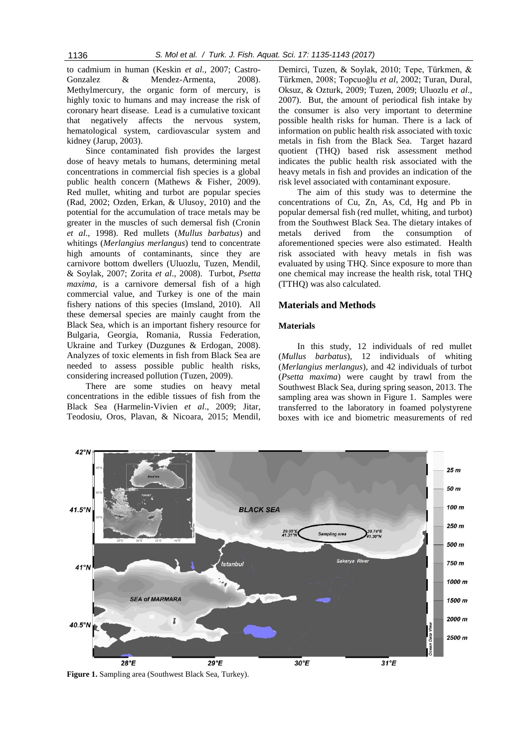to cadmium in human (Keskin *et al*., 2007; Castro-Gonzalez & Mendez-Armenta, 2008). Methylmercury, the organic form of mercury, is highly toxic to humans and may increase the risk of coronary heart disease. Lead is a cumulative toxicant that negatively affects the nervous system, hematological system, cardiovascular system and kidney (Jarup, 2003).

Since contaminated fish provides the largest dose of heavy metals to humans, determining metal concentrations in commercial fish species is a global public health concern (Mathews & Fisher, 2009). Red mullet, whiting and turbot are popular species (Rad, 2002; Ozden, Erkan, & Ulusoy, 2010) and the potential for the accumulation of trace metals may be greater in the muscles of such demersal fish (Cronin *et al*., 1998). Red mullets (*Mullus barbatus*) and whitings (*Merlangius merlangus*) tend to concentrate high amounts of contaminants, since they are carnivore bottom dwellers (Uluozlu, Tuzen, Mendil, & Soylak, 2007; Zorita *et al*., 2008). Turbot, *Psetta maxima,* is a carnivore demersal fish of a high commercial value, and Turkey is one of the main fishery nations of this species (Imsland, 2010). All these demersal species are mainly caught from the Black Sea, which is an important fishery resource for Bulgaria, Georgia, Romania, Russia Federation, Ukraine and Turkey (Duzgunes & Erdogan, 2008). Analyzes of toxic elements in fish from Black Sea are needed to assess possible public health risks, considering increased pollution (Tuzen, 2009).

There are some studies on heavy metal concentrations in the edible tissues of fish from the Black Sea (Harmelin-Vivien *et al*., 2009; Jitar, Teodosiu, Oros, Plavan, & Nicoara, 2015; Mendil,

Demirci, Tuzen, & Soylak, 2010; Tepe, Türkmen, & Türkmen, 2008; Topcuoğlu *et al*, 2002; Turan, Dural, Oksuz, & Ozturk, 2009; Tuzen, 2009; Uluozlu *et al*., 2007). But, the amount of periodical fish intake by the consumer is also very important to determine possible health risks for human. There is a lack of information on public health risk associated with toxic metals in fish from the Black Sea. Target hazard quotient (THQ) based risk assessment method indicates the public health risk associated with the heavy metals in fish and provides an indication of the risk level associated with contaminant exposure.

The aim of this study was to determine the concentrations of Cu, Zn, As, Cd, Hg and Pb in popular demersal fish (red mullet, whiting, and turbot) from the Southwest Black Sea. The dietary intakes of metals derived from the consumption of aforementioned species were also estimated. Health risk associated with heavy metals in fish was evaluated by using THQ. Since exposure to more than one chemical may increase the health risk, total THQ (TTHQ) was also calculated.

# **Materials and Methods**

#### **Materials**

In this study, 12 individuals of red mullet (*Mullus barbatus*), 12 individuals of whiting (*Merlangius merlangus*), and 42 individuals of turbot (*Psetta maxima*) were caught by trawl from the Southwest Black Sea, during spring season, 2013. The sampling area was shown in Figure 1. Samples were transferred to the laboratory in foamed polystyrene boxes with ice and biometric measurements of red



**Figure 1.** Sampling area (Southwest Black Sea, Turkey).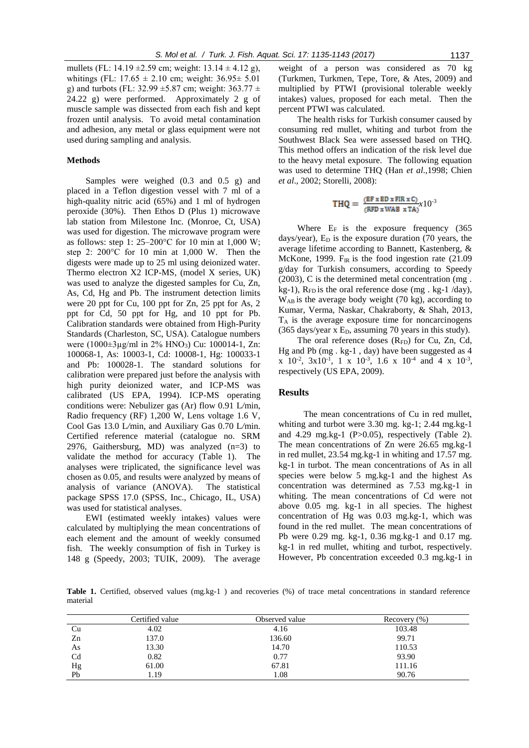mullets (FL: 14.19  $\pm 2.59$  cm; weight: 13.14  $\pm$  4.12 g), whitings (FL:  $17.65 \pm 2.10$  cm; weight:  $36.95 \pm 5.01$ g) and turbots (FL: 32.99  $\pm$ 5.87 cm; weight: 363.77  $\pm$ 24.22 g) were performed. Approximately 2 g of muscle sample was dissected from each fish and kept frozen until analysis. To avoid metal contamination and adhesion, any metal or glass equipment were not used during sampling and analysis.

# **Methods**

Samples were weighed (0.3 and 0.5 g) and placed in a Teflon digestion vessel with 7 ml of a high-quality nitric acid (65%) and 1 ml of hydrogen peroxide (30%). Then Ethos D (Plus 1) microwave lab station from Milestone Inc. (Monroe, Ct, USA) was used for digestion. The microwave program were as follows: step 1:  $25-200$ °C for 10 min at 1,000 W; step 2: 200°C for 10 min at 1,000 W. Then the digests were made up to 25 ml using deionized water. Thermo electron X2 ICP-MS, (model X series, UK) was used to analyze the digested samples for Cu, Zn, As, Cd, Hg and Pb. The instrument detection limits were 20 ppt for Cu, 100 ppt for Zn, 25 ppt for As, 2 ppt for Cd, 50 ppt for Hg, and 10 ppt for Pb. Calibration standards were obtained from High-Purity Standards (Charleston, SC, USA). Catalogue numbers were (1000±3µg/ml in 2% HNO3) Cu: 100014-1, Zn: 100068-1, As: 10003-1, Cd: 10008-1, Hg: 100033-1 and Pb: 100028-1. The standard solutions for calibration were prepared just before the analysis with high purity deionized water, and ICP-MS was calibrated (US EPA, 1994). ICP-MS operating conditions were: Nebulizer gas (Ar) flow 0.91 L*/*min, Radio frequency (RF) 1,200 W, Lens voltage 1.6 V, Cool Gas 13.0 L*/*min, and Auxiliary Gas 0.70 L*/*min. Certified reference material (catalogue no. SRM 2976, Gaithersburg, MD) was analyzed  $(n=3)$  to validate the method for accuracy (Table 1). The analyses were triplicated, the significance level was chosen as 0.05, and results were analyzed by means of analysis of variance (ANOVA). The statistical package SPSS 17.0 (SPSS, Inc., Chicago, IL, USA) was used for statistical analyses.

EWI (estimated weekly intakes) values were calculated by multiplying the mean concentrations of each element and the amount of weekly consumed fish. The weekly consumption of fish in Turkey is 148 g (Speedy, 2003; TUIK, 2009). The average weight of a person was considered as 70 kg (Turkmen, Turkmen, Tepe, Tore, & Ates, 2009) and multiplied by PTWI (provisional tolerable weekly intakes) values, proposed for each metal. Then the percent PTWI was calculated.

The health risks for Turkish consumer caused by consuming red mullet, whiting and turbot from the Southwest Black Sea were assessed based on THQ. This method offers an indication of the risk level due to the heavy metal exposure. The following equation was used to determine THQ (Han *et al*.,1998; Chien *et al*., 2002; Storelli, 2008):

$$
THQ = \frac{(EF \times ED \times FIR \times C)}{(RFD \times WAB \times TA)} \times 10^{-3}
$$

Where  $E_F$  is the exposure frequency (365) days/year),  $E_D$  is the exposure duration (70 years, the average lifetime according to Bannett, Kastenberg, & McKone, 1999.  $F_{IR}$  is the food ingestion rate (21.09) g/day for Turkish consumers, according to Speedy (2003), C is the determined metal concentration (mg . kg-1),  $R_{FD}$  is the oral reference dose (mg. kg-1/day), WAB is the average body weight (70 kg), according to Kumar, Verma, Naskar, Chakraborty, & Shah, 2013, T<sup>A</sup> is the average exposure time for noncarcinogens  $(365 \text{ days/year} \times E_D,$  assuming 70 years in this study).

The oral reference doses (R<sub>FD</sub>) for Cu, Zn, Cd, Hg and Pb (mg . kg-1 , day) have been suggested as 4  $x \neq 10^{-2}$ ,  $3x10^{-1}$ ,  $1 \times 10^{-3}$ ,  $1.6 \times 10^{-4}$  and  $4 \times 10^{-3}$ , respectively (US EPA, 2009).

#### **Results**

The mean concentrations of Cu in red mullet, whiting and turbot were 3.30 mg. kg-1; 2.44 mg.kg-1 and 4.29 mg.kg-1 (P>0.05), respectively (Table 2). The mean concentrations of Zn were 26.65 mg.kg-1 in red mullet, 23.54 mg.kg-1 in whiting and 17.57 mg. kg-1 in turbot. The mean concentrations of As in all species were below 5 mg.kg-1 and the highest As concentration was determined as 7.53 mg.kg-1 in whiting. The mean concentrations of Cd were not above 0.05 mg. kg-1 in all species. The highest concentration of Hg was 0.03 mg.kg-1, which was found in the red mullet. The mean concentrations of Pb were 0.29 mg. kg-1, 0.36 mg.kg-1 and 0.17 mg. kg-1 in red mullet, whiting and turbot, respectively. However, Pb concentration exceeded 0.3 mg.kg-1 in

Table 1. Certified, observed values (mg.kg-1) and recoveries (%) of trace metal concentrations in standard reference material

|    | Certified value | Observed value | (% )<br>Recovery |
|----|-----------------|----------------|------------------|
| Cu | 4.02            | 4.16           | 103.48           |
| Zn | 137.0           | 136.60         | 99.71            |
| As | 13.30           | 14.70          | 110.53           |
| Cd | 0.82            | 0.77           | 93.90            |
| Hg | 61.00           | 67.81          | 111.16           |
| Pb | 1.19            | 0.11           | 90.76            |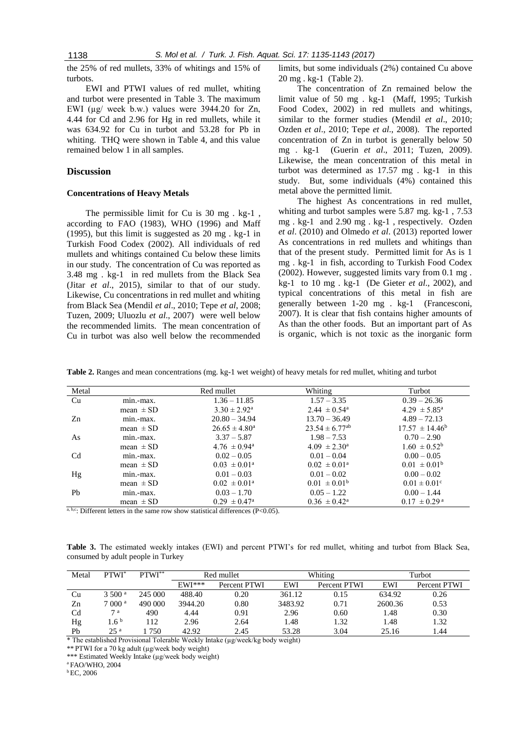the 25% of red mullets, 33% of whitings and 15% of turbots.

EWI and PTWI values of red mullet, whiting and turbot were presented in Table 3. The maximum EWI (µg/ week b.w.) values were 3944.20 for Zn, 4.44 for Cd and 2.96 for Hg in red mullets, while it was 634.92 for Cu in turbot and 53.28 for Pb in whiting. THQ were shown in Table 4, and this value remained below 1 in all samples.

# **Discussion**

#### **Concentrations of Heavy Metals**

The permissible limit for Cu is 30 mg . kg-1 , according to FAO (1983), WHO (1996) and Maff (1995), but this limit is suggested as 20 mg . kg-1 in Turkish Food Codex (2002). All individuals of red mullets and whitings contained Cu below these limits in our study. The concentration of Cu was reported as 3.48 mg . kg-1 in red mullets from the Black Sea (Jitar *et al*., 2015), similar to that of our study. Likewise, Cu concentrations in red mullet and whiting from Black Sea (Mendil *et al*., 2010; Tepe *et al*, 2008; Tuzen, 2009; Uluozlu *et al*., 2007) were well below the recommended limits. The mean concentration of Cu in turbot was also well below the recommended limits, but some individuals (2%) contained Cu above 20 mg . kg-1 (Table 2).

The concentration of Zn remained below the limit value of 50 mg . kg-1 (Maff, 1995; Turkish Food Codex, 2002) in red mullets and whitings, similar to the former studies (Mendil *et al*., 2010; Ozden *et al*., 2010; Tepe *et al*., 2008). The reported concentration of Zn in turbot is generally below 50 mg . kg-1 (Guerin *et al*., 2011; Tuzen, 2009). Likewise, the mean concentration of this metal in turbot was determined as 17.57 mg . kg-1 in this study. But, some individuals (4%) contained this metal above the permitted limit.

The highest As concentrations in red mullet, whiting and turbot samples were 5.87 mg. kg-1 , 7.53 mg . kg-1 and 2.90 mg . kg-1 , respectively. Ozden *et al*. (2010) and Olmedo *et al*. (2013) reported lower As concentrations in red mullets and whitings than that of the present study. Permitted limit for As is 1 mg . kg-1 in fish, according to Turkish Food Codex (2002). However, suggested limits vary from 0.1 mg . kg-1 to 10 mg . kg-1 (De Gieter *et al*., 2002), and typical concentrations of this metal in fish are generally between 1-20 mg . kg-1 (Francesconi, 2007). It is clear that fish contains higher amounts of As than the other foods. But an important part of As is organic, which is not toxic as the inorganic form

**Table 2.** Ranges and mean concentrations (mg. kg-1 wet weight) of heavy metals for red mullet, whiting and turbot

| Metal                                       |               | Red mullet                 | Whiting                        | Turbot                       |
|---------------------------------------------|---------------|----------------------------|--------------------------------|------------------------------|
| Cu                                          | min.-max.     | $1.36 - 11.85$             | $1.57 - 3.35$                  | $0.39 - 26.36$               |
|                                             | mean $\pm$ SD | $3.30 \pm 2.92^{\text{a}}$ | $2.44 \pm 0.54$ <sup>a</sup>   | $4.29 \pm 5.85^{\circ}$      |
| Zn                                          | min.-max.     | $20.80 - 34.94$            | $13.70 - 36.49$                | $4.89 - 72.13$               |
|                                             | mean $\pm$ SD | $26.65 \pm 4.80^{\circ}$   | $23.54 \pm 6.77$ <sup>ab</sup> | $17.57 \pm 14.46^b$          |
| As                                          | min.-max.     | $3.37 - 5.87$              | $1.98 - 7.53$                  | $0.70 - 2.90$                |
|                                             | mean $\pm$ SD | $4.76 \pm 0.94^{\text{a}}$ | $4.09 \pm 2.30^{\circ}$        | $1.60 \pm 0.52^{\rm b}$      |
| Cd                                          | min.-max.     | $0.02 - 0.05$              | $0.01 - 0.04$                  | $0.00 - 0.05$                |
|                                             | mean $\pm$ SD | $0.03 \pm 0.01^{\text{a}}$ | $0.02 \pm 0.01^{\circ}$        | $0.01 \pm 0.01^b$            |
| Hg                                          | min.-max.     | $0.01 - 0.03$              | $0.01 - 0.02$                  | $0.00 - 0.02$                |
|                                             | mean $\pm$ SD | $0.02 \pm 0.01^{\text{a}}$ | $0.01 \pm 0.01^b$              | $0.01 \pm 0.01$ <sup>c</sup> |
| Pb                                          | min.-max.     | $0.03 - 1.70$              | $0.05 - 1.22$                  | $0.00 - 1.44$                |
| $\sim$ 1 $\sim$ $\sim$ $\sim$ $\sim$ $\sim$ | mean $\pm$ SD | $0.29 \pm 0.47^{\text{a}}$ | $0.36 \pm 0.42^{\text{a}}$     | $0.17 \pm 0.29^{\text{ a}}$  |

a, b,c. Different letters in the same row show statistical differences (P<0.05).

**Table 3.** The estimated weekly intakes (EWI) and percent PTWI's for red mullet, whiting and turbot from Black Sea, consumed by adult people in Turkey

| Metal          | PTWI <sup>*</sup> | PTWI**  | Red mullet |              | Whiting |              | Turbot  |              |
|----------------|-------------------|---------|------------|--------------|---------|--------------|---------|--------------|
|                |                   |         | $EWI***$   | Percent PTWI | EWI     | Percent PTWI | EWI     | Percent PTWI |
| Cu             | 3500 <sup>a</sup> | 245 000 | 488.40     | 0.20         | 361.12  | 0.15         | 634.92  | 0.26         |
| Zn             | 7000 <sup>a</sup> | 490 000 | 3944.20    | 0.80         | 3483.92 | 0.71         | 2600.36 | 0.53         |
| C <sub>d</sub> | 7a                | 490     | 4.44       | 0.91         | 2.96    | 0.60         | 1.48    | 0.30         |
| Hg             | $1.6^{\circ}$     | 112     | 2.96       | 2.64         | .48     | 1.32         | 1.48    | 1.32         |
| Pb             | 25 <sup>a</sup>   | 750     | 42.92      | 2.45         | 53.28   | 3.04         | 25.16   | l .44        |

\* The established Provisional Tolerable Weekly Intake (µg/week/kg body weight)

\*\* PTWI for a 70 kg adult (µg/week body weight)

\*\*\* Estimated Weekly Intake (µg/week body weight)

<sup>a</sup>FAO/WHO, 2004

 $b$  EC, 2006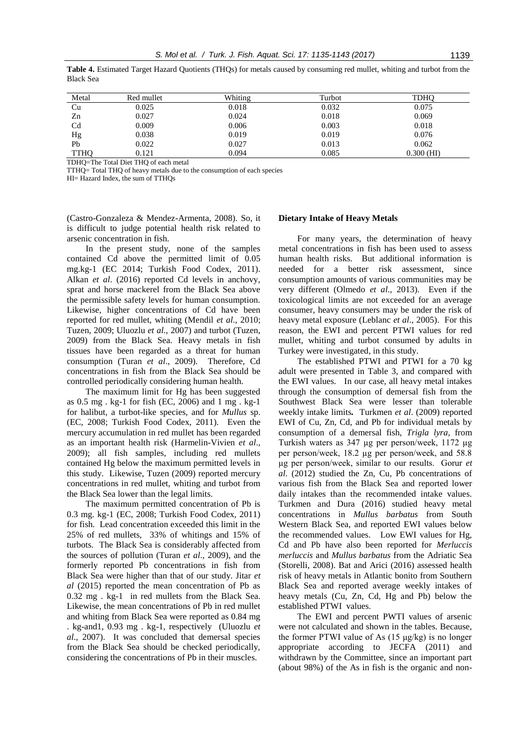| Table 4. Estimated Target Hazard Quotients (THQs) for metals caused by consuming red mullet, whiting and turbot from the |
|--------------------------------------------------------------------------------------------------------------------------|
| <b>Black Sea</b>                                                                                                         |
|                                                                                                                          |

| Metal          | Red mullet | Whiting | Turbot | TDHO         |
|----------------|------------|---------|--------|--------------|
| Cu             | 0.025      | 0.018   | 0.032  | 0.075        |
| Zn             | 0.027      | 0.024   | 0.018  | 0.069        |
| C <sub>d</sub> | 0.009      | 0.006   | 0.003  | 0.018        |
| Hg             | 0.038      | 0.019   | 0.019  | 0.076        |
| Pb             | 0.022      | 0.027   | 0.013  | 0.062        |
| <b>TTHO</b>    | 0.121      | 0.094   | 0.085  | $0.300$ (HI) |

TDHQ=The Total Diet THQ of each metal

TTHQ= Total THQ of heavy metals due to the consumption of each species

HI= Hazard Index, the sum of TTHQs

(Castro-Gonzaleza & Mendez-Armenta, 2008). So, it is difficult to judge potential health risk related to arsenic concentration in fish.

In the present study, none of the samples contained Cd above the permitted limit of 0.05 mg.kg-1 (EC 2014; Turkish Food Codex, 2011). Alkan *et al*. (2016) reported Cd levels in anchovy, sprat and horse mackerel from the Black Sea above the permissible safety levels for human consumption. Likewise, higher concentrations of Cd have been reported for red mullet, whiting (Mendil *et al*., 2010; Tuzen, 2009; Uluozlu *et al*., 2007) and turbot (Tuzen, 2009) from the Black Sea. Heavy metals in fish tissues have been regarded as a threat for human consumption (Turan *et al*., 2009). Therefore, Cd concentrations in fish from the Black Sea should be controlled periodically considering human health.

The maximum limit for Hg has been suggested as 0.5 mg . kg-1 for fish (EC, 2006) and 1 mg . kg-1 for halibut, a turbot-like species, and for *Mullus* sp. (EC, 2008; Turkish Food Codex, 2011). Even the mercury accumulation in red mullet has been regarded as an important health risk (Harmelin-Vivien *et al*., 2009); all fish samples, including red mullets contained Hg below the maximum permitted levels in this study. Likewise, Tuzen (2009) reported mercury concentrations in red mullet, whiting and turbot from the Black Sea lower than the legal limits.

The maximum permitted concentration of Pb is 0.3 mg. kg-1 (EC, 2008; Turkish Food Codex, 2011) for fish. Lead concentration exceeded this limit in the 25% of red mullets, 33% of whitings and 15% of turbots. The Black Sea is considerably affected from the sources of pollution (Turan *et al*., 2009), and the formerly reported Pb concentrations in fish from Black Sea were higher than that of our study. Jitar *et al* (2015) reported the mean concentration of Pb as 0.32 mg . kg-1 in red mullets from the Black Sea. Likewise, the mean concentrations of Pb in red mullet and whiting from Black Sea were reported as 0.84 mg . kg-and1, 0.93 mg . kg-1, respectively (Uluozlu *et al*., 2007). It was concluded that demersal species from the Black Sea should be checked periodically, considering the concentrations of Pb in their muscles.

#### **Dietary Intake of Heavy Metals**

For many years, the determination of heavy metal concentrations in fish has been used to assess human health risks. But additional information is needed for a better risk assessment, since consumption amounts of various communities may be very different (Olmedo *et al*., 2013). Even if the toxicological limits are not exceeded for an average consumer, heavy consumers may be under the risk of heavy metal exposure (Leblanc *et al*., 2005). For this reason, the EWI and percent PTWI values for red mullet, whiting and turbot consumed by adults in Turkey were investigated, in this study.

The established PTWI and PTWI for a 70 kg adult were presented in Table 3, and compared with the EWI values. In our case, all heavy metal intakes through the consumption of demersal fish from the Southwest Black Sea were lesser than tolerable weekly intake limits*.* Turkmen *et al*. (2009) reported EWI of Cu, Zn, Cd, and Pb for individual metals by consumption of a demersal fish, *Trigla lyra*, from Turkish waters as 347 µg per person/week, 1172 µg per person/week, 18.2 µg per person/week, and 58.8 µg per person/week, similar to our results. Gorur *et al*. (2012) studied the Zn, Cu, Pb concentrations of various fish from the Black Sea and reported lower daily intakes than the recommended intake values. Turkmen and Dura (2016) studied heavy metal concentrations in *Mullus barbatus* from South Western Black Sea, and reported EWI values below the recommended values. Low EWI values for Hg, Cd and Pb have also been reported for *Merluccis merluccis* and *Mullus barbatus* from the Adriatic Sea (Storelli, 2008). Bat and Arici (2016) assessed health risk of heavy metals in Atlantic bonito from Southern Black Sea and reported average weekly intakes of heavy metals (Cu, Zn, Cd, Hg and Pb) below the established PTWI values.

The EWI and percent PWTI values of arsenic were not calculated and shown in the tables. Because, the former PTWI value of As  $(15 \mu g/kg)$  is no longer appropriate according to JECFA (2011) and withdrawn by the Committee, since an important part (about 98%) of the As in fish is the organic and non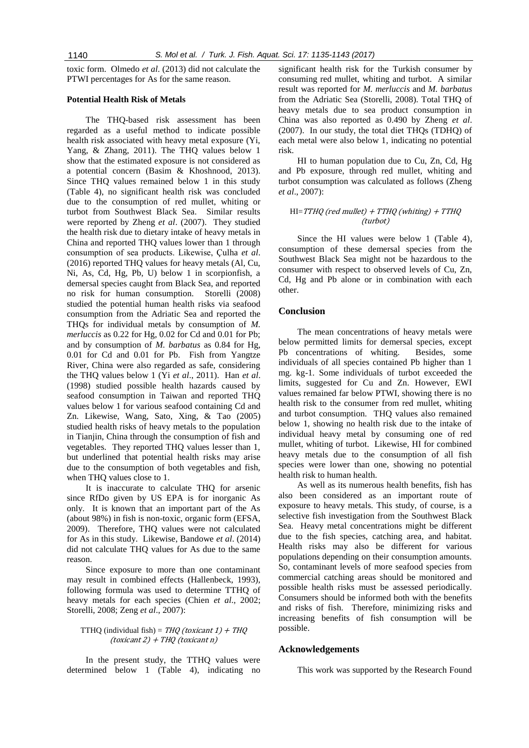toxic form. Olmedo *et al*. (2013) did not calculate the PTWI percentages for As for the same reason.

# **Potential Health Risk of Metals**

The THQ-based risk assessment has been regarded as a useful method to indicate possible health risk associated with heavy metal exposure (Yi, Yang, & Zhang, 2011). The THQ values below 1 show that the estimated exposure is not considered as a potential concern (Basim & Khoshnood, 2013). Since THQ values remained below 1 in this study (Table 4), no significant health risk was concluded due to the consumption of red mullet, whiting or turbot from Southwest Black Sea. Similar results were reported by Zheng *et al*. (2007). They studied the health risk due to dietary intake of heavy metals in China and reported THQ values lower than 1 through consumption of sea products. Likewise, Çulha *et al*. (2016) reported THQ values for heavy metals (Al, Cu, Ni, As, Cd, Hg, Pb, U) below 1 in scorpionfish, a demersal species caught from Black Sea, and reported no risk for human consumption. Storelli (2008) studied the potential human health risks via seafood consumption from the Adriatic Sea and reported the THQs for individual metals by consumption of *M. merluccis* as 0.22 for Hg, 0.02 for Cd and 0.01 for Pb; and by consumption of *M. barbatus* as 0.84 for Hg, 0.01 for Cd and 0.01 for Pb. Fish from Yangtze River, China were also regarded as safe, considering the THQ values below 1 (Yi *et al*., 2011). Han *et al*. (1998) studied possible health hazards caused by seafood consumption in Taiwan and reported THQ values below 1 for various seafood containing Cd and Zn. Likewise, Wang, Sato, Xing, & Tao (2005) studied health risks of heavy metals to the population in Tianjin, China through the consumption of fish and vegetables. They reported THQ values lesser than 1, but underlined that potential health risks may arise due to the consumption of both vegetables and fish, when THQ values close to 1.

It is inaccurate to calculate THQ for arsenic since RfDo given by US EPA is for inorganic As only. It is known that an important part of the As (about 98%) in fish is non-toxic, organic form (EFSA, 2009). Therefore, THQ values were not calculated for As in this study. Likewise, Bandowe *et al*. (2014) did not calculate THQ values for As due to the same reason.

Since exposure to more than one contaminant may result in combined effects (Hallenbeck, 1993), following formula was used to determine TTHQ of heavy metals for each species (Chien *et al*., 2002; Storelli, 2008; Zeng *et al*., 2007):

# TTHQ (individual fish) =  $THQ$  (toxicant 1) + THQ  $(toxicant 2) + THQ(toxicant n)$

In the present study, the TTHQ values were determined below 1 (Table 4), indicating no

significant health risk for the Turkish consumer by consuming red mullet, whiting and turbot. A similar result was reported for *M. merluccis* and *M. barbatus* from the Adriatic Sea (Storelli, 2008). Total THQ of heavy metals due to sea product consumption in China was also reported as 0.490 by Zheng *et al*. (2007). In our study, the total diet THQs (TDHQ) of each metal were also below 1, indicating no potential risk.

HI to human population due to Cu, Zn, Cd, Hg and Pb exposure, through red mullet, whiting and turbot consumption was calculated as follows (Zheng *et al*., 2007):

#### $HI=TTHQ$  (red mullet) + TTHQ (whiting) + TTHQ (turbot)

Since the HI values were below 1 (Table 4), consumption of these demersal species from the Southwest Black Sea might not be hazardous to the consumer with respect to observed levels of Cu, Zn, Cd, Hg and Pb alone or in combination with each other.

#### **Conclusion**

The mean concentrations of heavy metals were below permitted limits for demersal species, except Pb concentrations of whiting. Besides, some individuals of all species contained Pb higher than 1 mg. kg-1. Some individuals of turbot exceeded the limits, suggested for Cu and Zn. However, EWI values remained far below PTWI, showing there is no health risk to the consumer from red mullet, whiting and turbot consumption. THQ values also remained below 1, showing no health risk due to the intake of individual heavy metal by consuming one of red mullet, whiting of turbot. Likewise, HI for combined heavy metals due to the consumption of all fish species were lower than one, showing no potential health risk to human health.

As well as its numerous health benefits, fish has also been considered as an important route of exposure to heavy metals. This study, of course, is a selective fish investigation from the Southwest Black Sea. Heavy metal concentrations might be different due to the fish species, catching area, and habitat. Health risks may also be different for various populations depending on their consumption amounts. So, contaminant levels of more seafood species from commercial catching areas should be monitored and possible health risks must be assessed periodically. Consumers should be informed both with the benefits and risks of fish. Therefore, minimizing risks and increasing benefits of fish consumption will be possible.

#### **Acknowledgements**

This work was supported by the Research Found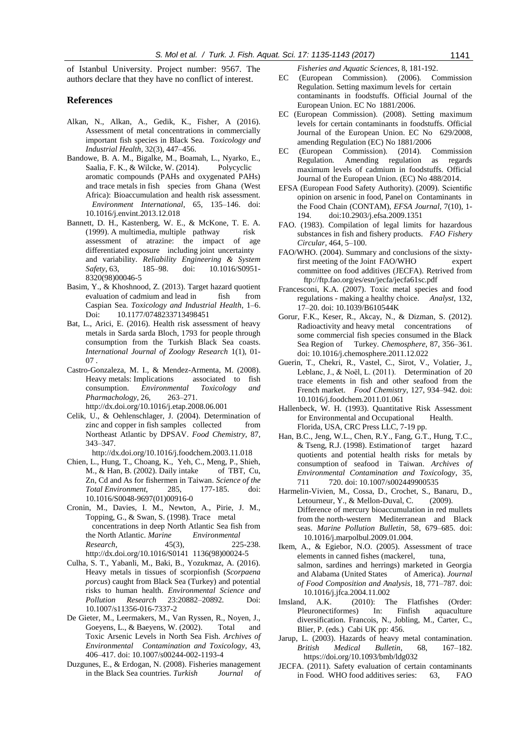of Istanbul University. Project number: 9567. The authors declare that they have no conflict of interest.

#### **References**

- Alkan, N., Alkan, A., Gedik, K., Fisher, A (2016). Assessment of metal concentrations in commercially important fish species in Black Sea. *Toxicology and Industrial Health*, 32(3), 447–456.
- Bandowe, B. A. M., Bigalke, M., Boamah, L., Nyarko, E., Saalia, F. K., & Wilcke, W. (2014). Polycyclic aromatic compounds (PAHs and oxygenated PAHs) and trace metals in fish species from Ghana (West Africa): Bioaccumulation and health risk assessment. *Environment International*, 65, 135–146. doi: 10.1016/j.envint.2013.12.018
- Bannett, D. H., Kastenberg, W. E., & McKone, T. E. A. (1999). A multimedia, multiple pathway risk assessment of atrazine: the impact of age differentiated exposure including joint uncertainty and variability. *Reliability Engineering & System Safety*, 63, 185–98. doi: 10.1016/S0951- 8320(98)00046-5
- Basim, Y., & Khoshnood, Z. (2013). Target hazard quotient evaluation of cadmium and lead in fish from Caspian Sea. *Toxicology and Industrial Health*, 1–6. Doi: 10.1177/0748233713498451
- Bat, L., Arici, E. (2016). Health risk assessment of heavy metals in Sarda sarda Bloch, 1793 for people through consumption from the Turkish Black Sea coasts. *International Journal of Zoology Research* 1(1), 01- 07 .
- Castro-Gonzaleza, M. I., & Mendez-Armenta, M. (2008). Heavy metals: Implications associated to fish consumption. *Environmental Toxicology and Pharmachology*, 26, 263–271. http://dx.doi.org/10.1016/j.etap.2008.06.001
- Celik, U., & Oehlenschlager, J. (2004). Determination of zinc and copper in fish samples collected from Northeast Atlantic by DPSAV. *Food Chemistry*, 87, 343–347.
- http://dx.doi.org/10.1016/j.foodchem.2003.11.018
- Chien, L., Hung, T., Choang, K., Yeh, C., Meng, P., Shieh, M., & Han, B. (2002). Daily intake of TBT, Cu, Zn, Cd and As for fishermen in Taiwan. *Science of the Total Environment*, 285, 177-185. doi: 10.1016/S0048-9697(01)00916-0
- Cronin, M., Davies, I. M., Newton, A., Pirie, J. M., Topping, G., & Swan, S. (1998). Trace metal concentrations in deep North Atlantic Sea fish from the North Atlantic. *Marine Environmental Research*, 45(3), 225-238. <http://dx.doi.org/10.1016/S0141> 1136(98)00024-5
- Culha, S. T., Yabanli, M., Baki, B., Yozukmaz, A. (2016). Heavy metals in tissues of scorpionfish (*Scorpaena porcus*) caught from Black Sea (Turkey) and potential risks to human health. *Environmental Science and Pollution Research* 23:20882–20892. Doi: 10.1007/s11356-016-7337-2
- De Gieter, M., Leermakers, M., Van Ryssen, R., Noyen, J., Goeyens, L., & Baeyens, W. (2002). Total and Toxic Arsenic Levels in North Sea Fish. *Archives of Environmental Contamination and Toxicology*, 43, 406–417. doi: 10.1007/s00244-002-1193-4
- Duzgunes, E., & Erdogan, N. (2008). Fisheries management in the Black Sea countries. *Turkish Journal of*

*Fisheries and Aquatic Sciences*, 8, 181-192.

- EC (European Commission). (2006). Commission Regulation. Setting maximum levels for certain contaminants in foodstuffs. Official Journal of the European Union. EC No 1881/2006.
- EC (European Commission). (2008). Setting maximum levels for certain contaminants in foodstuffs. Official Journal of the European Union. EC No 629/2008, amending Regulation (EC) No 1881/2006
- EC (European Commission). (2014). Commission Regulation*.* Amending regulation as regards maximum levels of cadmium in foodstuffs. Official Journal of the European Union. (EC) No 488/2014.
- EFSA (European Food Safety Authority). (2009). Scientific opinion on arsenic in food, Panel on Contaminants in the Food Chain (CONTAM), *EFSA Journal*, 7(10), 1- 194. doi:10.2903/j.efsa.2009.1351
- FAO. (1983). Compilation of legal limits for hazardous substances in fish and fishery products. *FAO Fishery Circular*, 464, 5–100.
- FAO/WHO. (2004). Summary and conclusions of the sixtyfirst meeting of the Joint FAO/WHO expert committee on food additives (JECFA). Retrived from ftp://ftp.fao.org/es/esn/jecfa/jecfa61sc.pdf
- Francesconi, K.A. (2007). Toxic metal species and food regulations - making a healthy choice. *Analyst*, 132, 17–20. doi: 10.1039/B610544K
- Gorur, F.K., Keser, R., Akcay, N., & Dizman, S. (2012). Radioactivity and heavy metal concentrations of some commercial fish species consumed in the Black Sea Region of Turkey. *Chemosphere*, 87, 356–361. doi: 10.1016/j.chemosphere.2011.12.022
- Guerin, T., Chekri, R., Vastel, C., Sirot, V., Volatier, J., Leblanc, J., & Noël, L. (2011). Determination of 20 trace elements in fish and other seafood from the French market. *Food Chemistry*, 127, 934–942. doi: 10.1016/j.foodchem.2011.01.061
- Hallenbeck, W. H. (1993). Quantitative Risk Assessment for Environmental and Occupational Health. Florida, USA, CRC Press LLC, 7-19 pp.
- Han, B.C., Jeng, W.L., Chen, R.Y., Fang, G.T., Hung, T.C., & Tseng, R.J. (1998). Estimationof target hazard quotients and potential health risks for metals by consumption of seafood in Taiwan. *Archives of Environmental Contamination and Toxicology*, 35, 711 720. doi: 10.1007/s002449900535
- Harmelin-Vivien, M., Cossa, D., Crochet, S., Banaru, D., Letourneur, Y., & Mellon-Duval, C. (2009). Difference of mercury bioaccumulation in red mullets from the north-western Mediterranean and Black seas. *Marine Pollution Bulletin*, 58, 679–685. doi: 10.1016/j.marpolbul.2009.01.004.
- Ikem, A., & Egiebor, N.O. (2005). Assessment of trace elements in canned fishes (mackerel, tuna, salmon, sardines and herrings) marketed in Georgia and Alabama (United States of America). *Journal of Food Composition and Analysis*, 18, 771–787. doi: 10.1016/j.jfca.2004.11.002
- Imsland, A.K. (2010): The Flatfishes (Order: Pleuronectiformes) In: Finfish aquaculture diversification. Francois, N., Jobling, M., Carter, C., Blier, P. (eds.) Cabi UK pp: 456.
- Jarup, L. (2003). Hazards of heavy metal contamination. *British Medical Bulletin*, 68, 167–182. https://doi.org/10.1093/bmb/ldg032
- JECFA. (2011). Safety evaluation of certain contaminants in Food. WHO food additives series: 63, FAO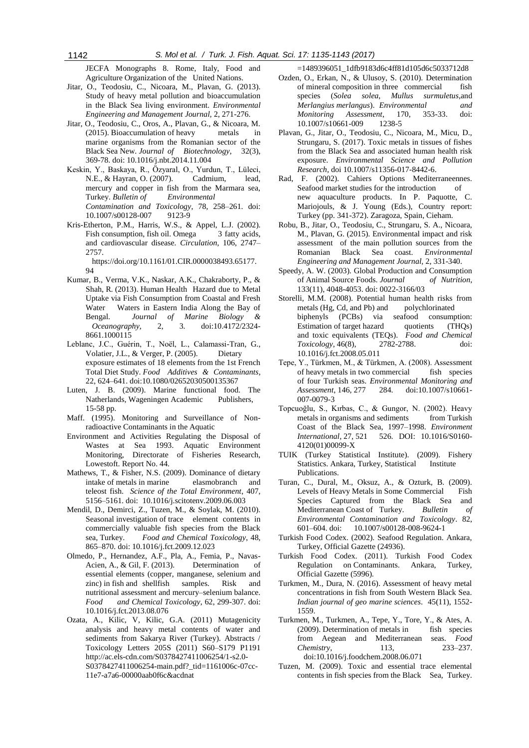JECFA Monographs 8. Rome, Italy, Food and Agriculture Organization of the United Nations.

- Jitar, O., Teodosiu, C., Nicoara, M., Plavan, G. (2013). Study of heavy metal pollution and bioaccumulation in the Black Sea living environment. *Environmental Engineering and Management Journal,* 2, 271-276.
- Jitar, O., Teodosiu, C., Oros, A., Plavan, G., & Nicoara, M. (2015). Bioaccumulation of heavy metals in marine organisms from the Romanian sector of the Black Sea New. *Journal of Biotechnology*, 32(3), 369-78. doi: 10.1016/j.nbt.2014.11.004
- Keskin, Y., Baskaya, R., Özyaral, O., Yurdun, T., Lüleci, N.E., & Hayran, O. (2007). Cadmium, lead, mercury and copper in fish from the Marmara sea, Turkey. *Bulletin of Environmental Contamination and Toxicology*, 78, 258–261. doi: 10.1007/s00128-007 9123-9
- Kris-Etherton, P.M., Harris, W.S., & Appel, L.J. (2002). Fish consumption, fish oil. Omega 3 fatty acids, and cardiovascular disease. *Circulation*, 106, 2747– 2757.

https://doi.org/10.1161/01.CIR.0000038493.65177.  $Q_4$ 

- Kumar, B., Verma, V.K., Naskar, A.K., Chakraborty, P., & Shah, R. (2013). Human Health Hazard due to Metal Uptake via Fish Consumption from Coastal and Fresh Water Waters in Eastern India Along the Bay of Bengal. *Journal of Marine Biology & Oceanography*, 2, 3. doi:10.4172/2324- 8661.1000115
- Leblanc, J.C., Guérin, T., Noël, L., Calamassi-Tran, G., Volatier, J.L., & Verger, P. (2005). Dietary exposure estimates of 18 elements from the 1st French Total Diet Study. *Food Additives & Contaminants*, 22, 624–641. doi:10.1080/02652030500135367
- Luten, J. B. (2009). Marine functional food. The Natherlands, Wageningen Academic Publishers, 15-58 pp.
- Maff. (1995). Monitoring and Surveillance of Nonradioactive Contaminants in the Aquatic
- Environment and Activities Regulating the Disposal of Wastes at Sea 1993. Aquatic Environment Monitoring, Directorate of Fisheries Research, Lowestoft. Report No. 44.
- Mathews, T., & Fisher, N.S. (2009). Dominance of dietary intake of metals in marine elasmobranch and teleost fish. *Science of the Total Environment*, 407, 5156–5161. doi: 10.1016/j.scitotenv.2009.06.003
- Mendil, D., Demirci, Z., Tuzen, M., & Soylak, M. (2010). Seasonal investigation of trace element contents in commercially valuable fish species from the Black sea, Turkey. *Food and Chemical Toxicology*, 48, 865–870. doi: 10.1016/j.fct.2009.12.023
- Olmedo, P., Hernandez, A.F., Pla, A., Femia, P., Navas-Acien, A., & Gil, F. (2013). Determination of essential elements (copper, manganese, selenium and zinc) in fish and shellfish samples. Risk and nutritional assessment and mercury–selenium balance. *Food and Chemical Toxicology*, 62, 299-307. doi: 10.1016/j.fct.2013.08.076
- Ozata, A., Kilic, V, Kilic, G.A. (2011) Mutagenicity analysis and heavy metal contents of water and sediments from Sakarya River (Turkey). Abstracts / Toxicology Letters 205S (2011) S60–S179 P1191 [http://ac.els-cdn.com/S0378427411006254/1-s2.0-](http://ac.els-cdn.com/S0378427411006254/1-s2.0-S0378427411006254-main.pdf?_tid=1161006c-07cc-11e7-a7a6-00000aab0f6c&acdnat) [S0378427411006254-main.pdf?\\_tid=1161006c-07cc-](http://ac.els-cdn.com/S0378427411006254/1-s2.0-S0378427411006254-main.pdf?_tid=1161006c-07cc-11e7-a7a6-00000aab0f6c&acdnat)[11e7-a7a6-00000aab0f6c&acdnat](http://ac.els-cdn.com/S0378427411006254/1-s2.0-S0378427411006254-main.pdf?_tid=1161006c-07cc-11e7-a7a6-00000aab0f6c&acdnat)

=1489396051\_1dfb9183d6c4ff81d105d6c5033712d8

- Ozden, O., Erkan, N., & Ulusoy, S. (2010). Determination of mineral composition in three commercial fish species (*Solea solea*, *Mullus surmuletus*,and *Merlangius merlangus*). *Environmental and Monitoring Assessment*, 170, 353-33. doi: 10.1007/s10661-009 1238-5
- Plavan, G., Jitar, O., Teodosiu, C., Nicoara, M., Micu, D., Strungaru, S. (2017). Toxic metals in tissues of fishes from the Black Sea and associated human health risk exposure. *Environmental Science and Pollution Research*, doi 10.1007/s11356-017-8442-6.
- Rad, F. (2002). Cahiers Options Mediterraneennes. Seafood market studies for the introduction of new aquaculture products. In P. Paquotte, C. Mariojouls, & J. Young (Eds.), Country report: Turkey (pp. 341-372). Zaragoza, Spain, Cieham.
- Robu, B., Jitar, O., Teodosiu, C., Strungaru, S. A., Nicoara, M., Plavan, G. (2015). Environmental impact and risk assessment of the main pollution sources from the Romanian Black Sea coast. *Environmental Engineering and Management Journal,* 2, 331-340.
- Speedy, A. W. (2003). Global Production and Consumption of Animal Source Foods. *Journal of Nutrition,* 133(11), 4048-4053. doi: 0022-3166/03
- Storelli, M.M. (2008). Potential human health risks from metals (Hg, Cd, and Pb) and polychlorinated biphenyls (PCBs) via seafood consumption: Estimation of target hazard quotients (THQs) and toxic equivalents (TEQs). *Food and Chemical Toxicology*, 46(8), 2782-2788. doi: 10.1016/j.fct.2008.05.011
- Tepe, Y., Türkmen, M., & Türkmen, A. (2008). Assessment of heavy metals in two commercial fish species of four Turkish seas. *Environmental Monitoring and Assessment*, 146, 277 284. doi:10.1007/s10661- 007-0079-3
- Topcuoğlu, S., Kırbas, C., & Gungor, N. (2002). Heavy metals in organisms and sediments from Turkish Coast of the Black Sea, 1997–1998. *Environment International*, 27, 521 526. DOI: 10.1016/S0160- 4120(01)00099-X
- TUIK (Turkey Statistical Institute). (2009). Fishery Statistics. Ankara, Turkey, Statistical Institute Publications.
- Turan, C., Dural, M., Oksuz, A., & Ozturk, B. (2009). Levels of Heavy Metals in Some Commercial Fish Species Captured from the Black Sea and Mediterranean Coast of Turkey. *Bulletin of Environmental Contamination and Toxicology*. 82, 601–604. doi: 10.1007/s00128-008-9624-1
- Turkish Food Codex. (2002). Seafood Regulation. Ankara, Turkey, Official Gazette (24936).
- Turkish Food Codex. (2011). Turkish Food Codex Regulation on Contaminants. Ankara, Turkey, Official Gazette (5996).
- Turkmen, M., Dura, N. (2016). Assessment of heavy metal concentrations in fish from South Western Black Sea. *Indian journal of geo marine sciences*. 45(11), 1552- 1559.
- Turkmen, M., Turkmen, A., Tepe, Y., Tore, Y., & Ates, A. (2009). Determination of metals in fish species from Aegean and Mediterranean seas*. Food Chemistry*, 113, 233–237. doi:10.1016/j.foodchem.2008.06.071
- Tuzen, M. (2009). Toxic and essential trace elemental contents in fish species from the Black Sea, Turkey.